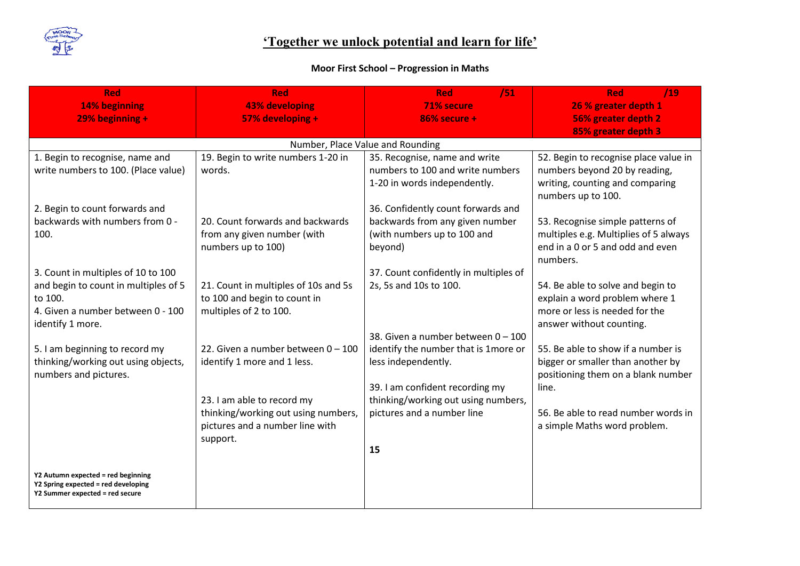

## **'Together we unlock potential and learn for life'**

## **Moor First School – Progression in Maths**

| Red                                                                    | <b>Red</b>                           | /51<br>Red                                                        | <b>Red</b><br>/19                                     |
|------------------------------------------------------------------------|--------------------------------------|-------------------------------------------------------------------|-------------------------------------------------------|
| 14% beginning                                                          | <b>43% developing</b>                | 71% secure                                                        | 26 % greater depth 1                                  |
| $29%$ beginning +                                                      | 57% developing +                     | $86%$ secure +                                                    | 56% greater depth 2                                   |
|                                                                        |                                      |                                                                   | 85% greater depth 3                                   |
|                                                                        |                                      | Number, Place Value and Rounding                                  |                                                       |
| 1. Begin to recognise, name and                                        | 19. Begin to write numbers 1-20 in   | 35. Recognise, name and write                                     | 52. Begin to recognise place value in                 |
| write numbers to 100. (Place value)                                    | words.                               | numbers to 100 and write numbers                                  | numbers beyond 20 by reading,                         |
|                                                                        |                                      | 1-20 in words independently.                                      | writing, counting and comparing<br>numbers up to 100. |
| 2. Begin to count forwards and                                         |                                      | 36. Confidently count forwards and                                |                                                       |
| backwards with numbers from 0 -                                        | 20. Count forwards and backwards     | backwards from any given number                                   | 53. Recognise simple patterns of                      |
| 100.                                                                   | from any given number (with          | (with numbers up to 100 and                                       | multiples e.g. Multiplies of 5 always                 |
|                                                                        | numbers up to 100)                   | beyond)                                                           | end in a 0 or 5 and odd and even<br>numbers.          |
| 3. Count in multiples of 10 to 100                                     |                                      | 37. Count confidently in multiples of                             |                                                       |
| and begin to count in multiples of 5                                   | 21. Count in multiples of 10s and 5s | 2s, 5s and 10s to 100.                                            | 54. Be able to solve and begin to                     |
| to 100.                                                                | to 100 and begin to count in         |                                                                   | explain a word problem where 1                        |
| 4. Given a number between 0 - 100                                      | multiples of 2 to 100.               |                                                                   | more or less is needed for the                        |
| identify 1 more.                                                       |                                      |                                                                   | answer without counting.                              |
|                                                                        |                                      | 38. Given a number between 0 - 100                                |                                                       |
| 5. I am beginning to record my                                         | 22. Given a number between $0 - 100$ | identify the number that is 1 more or                             | 55. Be able to show if a number is                    |
| thinking/working out using objects,                                    | identify 1 more and 1 less.          | less independently.                                               | bigger or smaller than another by                     |
| numbers and pictures.                                                  |                                      |                                                                   | positioning them on a blank number                    |
|                                                                        | 23. I am able to record my           | 39. I am confident recording my                                   | line.                                                 |
|                                                                        | thinking/working out using numbers,  | thinking/working out using numbers,<br>pictures and a number line | 56. Be able to read number words in                   |
|                                                                        | pictures and a number line with      |                                                                   | a simple Maths word problem.                          |
|                                                                        | support.                             |                                                                   |                                                       |
|                                                                        |                                      | 15                                                                |                                                       |
|                                                                        |                                      |                                                                   |                                                       |
| Y2 Autumn expected = red beginning                                     |                                      |                                                                   |                                                       |
| Y2 Spring expected = red developing<br>Y2 Summer expected = red secure |                                      |                                                                   |                                                       |
|                                                                        |                                      |                                                                   |                                                       |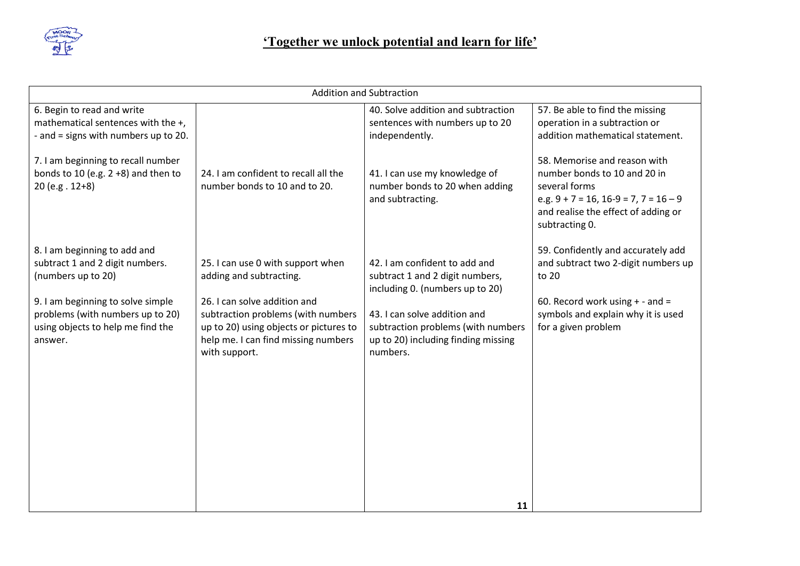

| <b>Addition and Subtraction</b>                                                                                                                                                                                |                                                                                                                                                                                                                                      |                                                                                                                                                                                                                              |                                                                                                                                                                                       |
|----------------------------------------------------------------------------------------------------------------------------------------------------------------------------------------------------------------|--------------------------------------------------------------------------------------------------------------------------------------------------------------------------------------------------------------------------------------|------------------------------------------------------------------------------------------------------------------------------------------------------------------------------------------------------------------------------|---------------------------------------------------------------------------------------------------------------------------------------------------------------------------------------|
| 6. Begin to read and write<br>mathematical sentences with the +,<br>- and = signs with numbers up to 20.                                                                                                       |                                                                                                                                                                                                                                      | 40. Solve addition and subtraction<br>sentences with numbers up to 20<br>independently.                                                                                                                                      | 57. Be able to find the missing<br>operation in a subtraction or<br>addition mathematical statement.                                                                                  |
| 7. I am beginning to recall number<br>bonds to 10 (e.g. $2 + 8$ ) and then to<br>20 (e.g. 12+8)                                                                                                                | 24. I am confident to recall all the<br>number bonds to 10 and to 20.                                                                                                                                                                | 41. I can use my knowledge of<br>number bonds to 20 when adding<br>and subtracting.                                                                                                                                          | 58. Memorise and reason with<br>number bonds to 10 and 20 in<br>several forms<br>e.g. $9 + 7 = 16$ , $16-9 = 7$ , $7 = 16-9$<br>and realise the effect of adding or<br>subtracting 0. |
| 8. I am beginning to add and<br>subtract 1 and 2 digit numbers.<br>(numbers up to 20)<br>9. I am beginning to solve simple<br>problems (with numbers up to 20)<br>using objects to help me find the<br>answer. | 25. I can use 0 with support when<br>adding and subtracting.<br>26. I can solve addition and<br>subtraction problems (with numbers<br>up to 20) using objects or pictures to<br>help me. I can find missing numbers<br>with support. | 42. I am confident to add and<br>subtract 1 and 2 digit numbers,<br>including 0. (numbers up to 20)<br>43. I can solve addition and<br>subtraction problems (with numbers<br>up to 20) including finding missing<br>numbers. | 59. Confidently and accurately add<br>and subtract two 2-digit numbers up<br>to 20<br>60. Record work using $+$ - and =<br>symbols and explain why it is used<br>for a given problem  |
|                                                                                                                                                                                                                |                                                                                                                                                                                                                                      | 11                                                                                                                                                                                                                           |                                                                                                                                                                                       |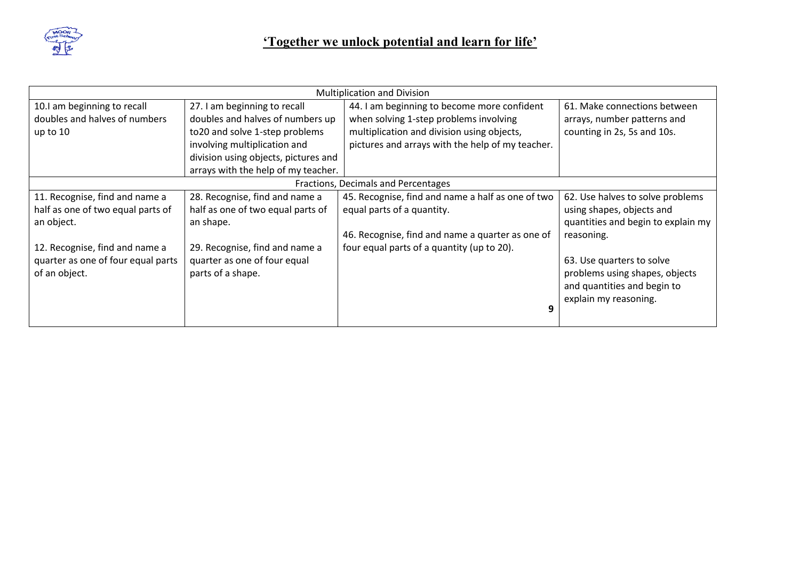

| <b>Multiplication and Division</b>  |                                      |                                                   |                                    |
|-------------------------------------|--------------------------------------|---------------------------------------------------|------------------------------------|
| 10.I am beginning to recall         | 27. I am beginning to recall         | 44. I am beginning to become more confident       | 61. Make connections between       |
| doubles and halves of numbers       | doubles and halves of numbers up     | when solving 1-step problems involving            | arrays, number patterns and        |
| up to 10                            | to 20 and solve 1-step problems      | multiplication and division using objects,        | counting in 2s, 5s and 10s.        |
|                                     | involving multiplication and         | pictures and arrays with the help of my teacher.  |                                    |
|                                     | division using objects, pictures and |                                                   |                                    |
|                                     | arrays with the help of my teacher.  |                                                   |                                    |
| Fractions, Decimals and Percentages |                                      |                                                   |                                    |
| 11. Recognise, find and name a      | 28. Recognise, find and name a       | 45. Recognise, find and name a half as one of two | 62. Use halves to solve problems   |
| half as one of two equal parts of   | half as one of two equal parts of    | equal parts of a quantity.                        | using shapes, objects and          |
| an object.                          | an shape.                            |                                                   | quantities and begin to explain my |
|                                     |                                      | 46. Recognise, find and name a quarter as one of  | reasoning.                         |
| 12. Recognise, find and name a      | 29. Recognise, find and name a       | four equal parts of a quantity (up to 20).        |                                    |
| quarter as one of four equal parts  | quarter as one of four equal         |                                                   | 63. Use quarters to solve          |
| of an object.                       | parts of a shape.                    |                                                   | problems using shapes, objects     |
|                                     |                                      |                                                   | and quantities and begin to        |
|                                     |                                      |                                                   | explain my reasoning.              |
|                                     |                                      | 9                                                 |                                    |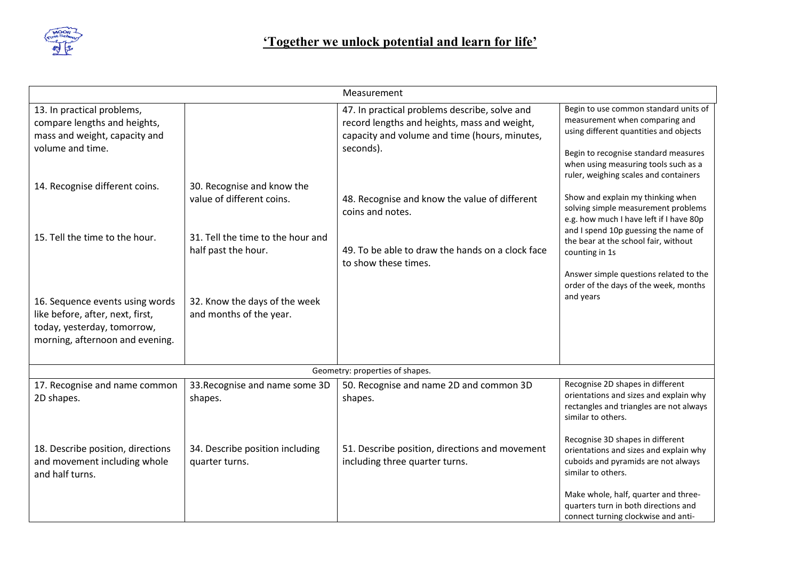

|                                                                                                                                       |                                                          | Measurement                                                                                                                                                 |                                                                                                                                                                                                                                            |
|---------------------------------------------------------------------------------------------------------------------------------------|----------------------------------------------------------|-------------------------------------------------------------------------------------------------------------------------------------------------------------|--------------------------------------------------------------------------------------------------------------------------------------------------------------------------------------------------------------------------------------------|
| 13. In practical problems,<br>compare lengths and heights,<br>mass and weight, capacity and<br>volume and time.                       |                                                          | 47. In practical problems describe, solve and<br>record lengths and heights, mass and weight,<br>capacity and volume and time (hours, minutes,<br>seconds). | Begin to use common standard units of<br>measurement when comparing and<br>using different quantities and objects<br>Begin to recognise standard measures<br>when using measuring tools such as a<br>ruler, weighing scales and containers |
| 14. Recognise different coins.                                                                                                        | 30. Recognise and know the<br>value of different coins.  | 48. Recognise and know the value of different<br>coins and notes.                                                                                           | Show and explain my thinking when<br>solving simple measurement problems<br>e.g. how much I have left if I have 80p<br>and I spend 10p guessing the name of                                                                                |
| 15. Tell the time to the hour.                                                                                                        | 31. Tell the time to the hour and<br>half past the hour. | 49. To be able to draw the hands on a clock face<br>to show these times.                                                                                    | the bear at the school fair, without<br>counting in 1s<br>Answer simple questions related to the<br>order of the days of the week, months                                                                                                  |
| 16. Sequence events using words<br>like before, after, next, first,<br>today, yesterday, tomorrow,<br>morning, afternoon and evening. | 32. Know the days of the week<br>and months of the year. |                                                                                                                                                             | and years                                                                                                                                                                                                                                  |
| Geometry: properties of shapes.                                                                                                       |                                                          |                                                                                                                                                             |                                                                                                                                                                                                                                            |
| 17. Recognise and name common<br>2D shapes.                                                                                           | 33. Recognise and name some 3D<br>shapes.                | 50. Recognise and name 2D and common 3D<br>shapes.                                                                                                          | Recognise 2D shapes in different<br>orientations and sizes and explain why<br>rectangles and triangles are not always<br>similar to others.                                                                                                |
| 18. Describe position, directions<br>and movement including whole<br>and half turns.                                                  | 34. Describe position including<br>quarter turns.        | 51. Describe position, directions and movement<br>including three quarter turns.                                                                            | Recognise 3D shapes in different<br>orientations and sizes and explain why<br>cuboids and pyramids are not always<br>similar to others.<br>Make whole, half, quarter and three-                                                            |
|                                                                                                                                       |                                                          |                                                                                                                                                             | quarters turn in both directions and<br>connect turning clockwise and anti-                                                                                                                                                                |